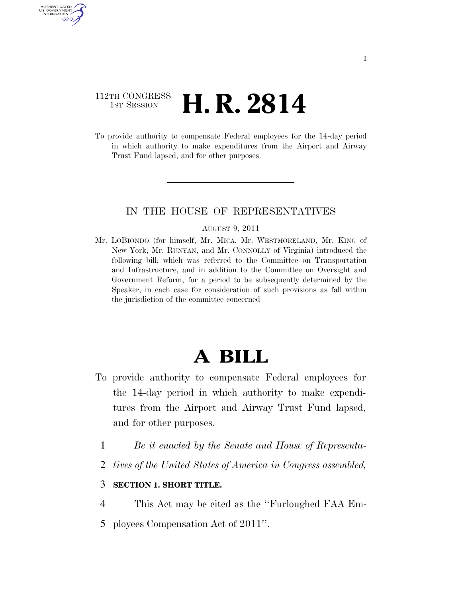### 112TH CONGRESS <sup>TH CONGRESS</sup> **H. R. 2814**

AUTHENTICATED U.S. GOVERNMENT GPO

> To provide authority to compensate Federal employees for the 14-day period in which authority to make expenditures from the Airport and Airway Trust Fund lapsed, and for other purposes.

### IN THE HOUSE OF REPRESENTATIVES

#### AUGUST 9, 2011

Mr. LOBIONDO (for himself, Mr. MICA, Mr. WESTMORELAND, Mr. KING of New York, Mr. RUNYAN, and Mr. CONNOLLY of Virginia) introduced the following bill; which was referred to the Committee on Transportation and Infrastructure, and in addition to the Committee on Oversight and Government Reform, for a period to be subsequently determined by the Speaker, in each case for consideration of such provisions as fall within the jurisdiction of the committee concerned

# **A BILL**

- To provide authority to compensate Federal employees for the 14-day period in which authority to make expenditures from the Airport and Airway Trust Fund lapsed, and for other purposes.
	- 1 *Be it enacted by the Senate and House of Representa-*
	- 2 *tives of the United States of America in Congress assembled,*

### 3 **SECTION 1. SHORT TITLE.**

- 4 This Act may be cited as the ''Furloughed FAA Em-
- 5 ployees Compensation Act of 2011''.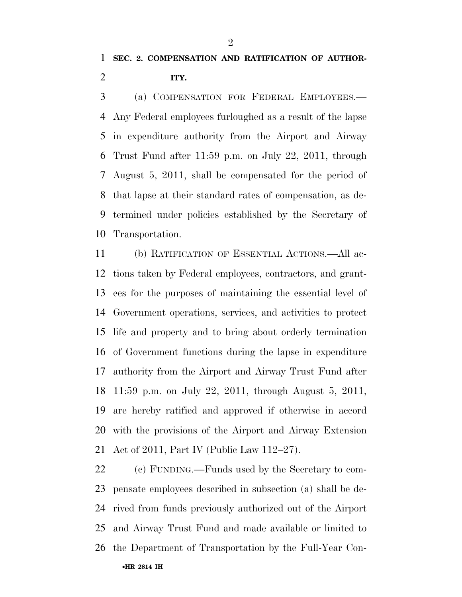## **SEC. 2. COMPENSATION AND RATIFICATION OF AUTHOR-ITY.**

 (a) COMPENSATION FOR FEDERAL EMPLOYEES.— Any Federal employees furloughed as a result of the lapse in expenditure authority from the Airport and Airway Trust Fund after 11:59 p.m. on July 22, 2011, through August 5, 2011, shall be compensated for the period of that lapse at their standard rates of compensation, as de- termined under policies established by the Secretary of Transportation.

 (b) RATIFICATION OF ESSENTIAL ACTIONS.—All ac- tions taken by Federal employees, contractors, and grant- ees for the purposes of maintaining the essential level of Government operations, services, and activities to protect life and property and to bring about orderly termination of Government functions during the lapse in expenditure authority from the Airport and Airway Trust Fund after 11:59 p.m. on July 22, 2011, through August 5, 2011, are hereby ratified and approved if otherwise in accord with the provisions of the Airport and Airway Extension Act of 2011, Part IV (Public Law 112–27).

•**HR 2814 IH** (c) FUNDING.—Funds used by the Secretary to com- pensate employees described in subsection (a) shall be de- rived from funds previously authorized out of the Airport and Airway Trust Fund and made available or limited to the Department of Transportation by the Full-Year Con